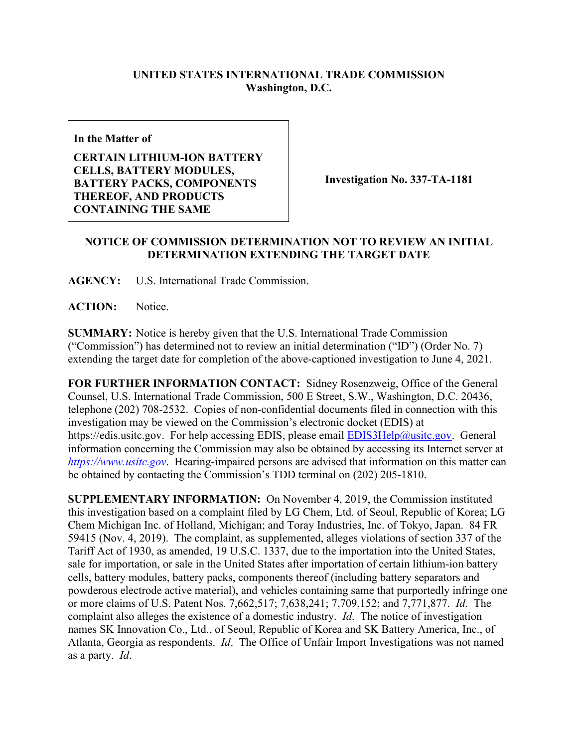## **UNITED STATES INTERNATIONAL TRADE COMMISSION Washington, D.C.**

**In the Matter of**

## **CERTAIN LITHIUM-ION BATTERY CELLS, BATTERY MODULES, BATTERY PACKS, COMPONENTS THEREOF, AND PRODUCTS CONTAINING THE SAME**

**Investigation No. 337-TA-1181**

## **NOTICE OF COMMISSION DETERMINATION NOT TO REVIEW AN INITIAL DETERMINATION EXTENDING THE TARGET DATE**

**AGENCY:** U.S. International Trade Commission.

ACTION: Notice.

**SUMMARY:** Notice is hereby given that the U.S. International Trade Commission ("Commission") has determined not to review an initial determination ("ID") (Order No. 7) extending the target date for completion of the above-captioned investigation to June 4, 2021.

**FOR FURTHER INFORMATION CONTACT:** Sidney Rosenzweig, Office of the General Counsel, U.S. International Trade Commission, 500 E Street, S.W., Washington, D.C. 20436, telephone (202) 708-2532. Copies of non-confidential documents filed in connection with this investigation may be viewed on the Commission's electronic docket (EDIS) at https://edis.usitc.gov. For help accessing EDIS, please email [EDIS3Help@usitc.gov.](mailto:EDIS3Help@usitc.gov) General information concerning the Commission may also be obtained by accessing its Internet server at *[https://www.usitc.gov](https://www.usitc.gov/)*. Hearing-impaired persons are advised that information on this matter can be obtained by contacting the Commission's TDD terminal on (202) 205-1810.

**SUPPLEMENTARY INFORMATION:** On November 4, 2019, the Commission instituted this investigation based on a complaint filed by LG Chem, Ltd. of Seoul, Republic of Korea; LG Chem Michigan Inc. of Holland, Michigan; and Toray Industries, Inc. of Tokyo, Japan. 84 FR 59415 (Nov. 4, 2019). The complaint, as supplemented, alleges violations of section 337 of the Tariff Act of 1930, as amended, 19 U.S.C. 1337, due to the importation into the United States, sale for importation, or sale in the United States after importation of certain lithium-ion battery cells, battery modules, battery packs, components thereof (including battery separators and powderous electrode active material), and vehicles containing same that purportedly infringe one or more claims of U.S. Patent Nos. 7,662,517; 7,638,241; 7,709,152; and 7,771,877. *Id*. The complaint also alleges the existence of a domestic industry. *Id*. The notice of investigation names SK Innovation Co., Ltd., of Seoul, Republic of Korea and SK Battery America, Inc., of Atlanta, Georgia as respondents. *Id*. The Office of Unfair Import Investigations was not named as a party. *Id*.